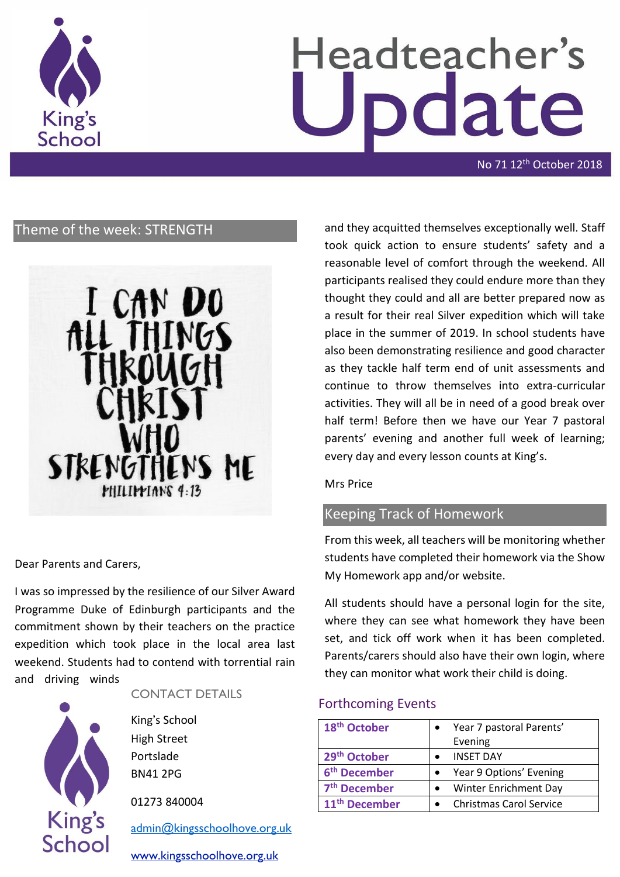

# Headteacher's date

No 71 12<sup>th</sup> October 2018

# Theme of the week: STRENGTH



Dear Parents and Carers,

I was so impressed by the resilience of our Silver Award Programme Duke of Edinburgh participants and the commitment shown by their teachers on the practice expedition which took place in the local area last weekend. Students had to contend with torrential rain and driving winds



CONTACT DETAILS

King's School High Street Portslade BN41 2PG

01273 840004

[admin@kingsschoolhove.org.uk](mailto:admin@kingsschoolhove.org.uk)

[www.kingsschoolhove.org.uk](http://www.kingsschoolhove.org.uk/)

and they acquitted themselves exceptionally well. Staff took quick action to ensure students' safety and a reasonable level of comfort through the weekend. All participants realised they could endure more than they thought they could and all are better prepared now as a result for their real Silver expedition which will take place in the summer of 2019. In school students have also been demonstrating resilience and good character as they tackle half term end of unit assessments and continue to throw themselves into extra-curricular activities. They will all be in need of a good break over half term! Before then we have our Year 7 pastoral parents' evening and another full week of learning; every day and every lesson counts at King's.

Mrs Price

# Keeping Track of Homework

From this week, all teachers will be monitoring whether students have completed their homework via the Show My Homework app and/or website.

All students should have a personal login for the site, where they can see what homework they have been set, and tick off work when it has been completed. Parents/carers should also have their own login, where they can monitor what work their child is doing.

#### Forthcoming Events

| 18 <sup>th</sup> October  | Year 7 pastoral Parents'       |
|---------------------------|--------------------------------|
|                           | Evening                        |
| 29 <sup>th</sup> October  | <b>INSET DAY</b>               |
| 6 <sup>th</sup> December  | Year 9 Options' Evening        |
| 7 <sup>th</sup> December  | <b>Winter Enrichment Day</b>   |
| 11 <sup>th</sup> December | <b>Christmas Carol Service</b> |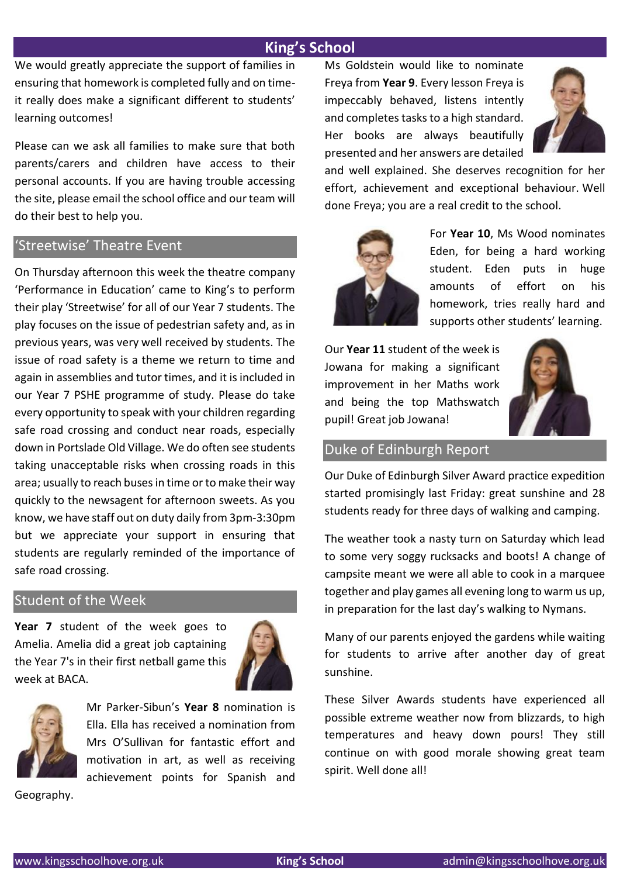# **King's School**

We would greatly appreciate the support of families in ensuring that homework is completed fully and on timeit really does make a significant different to students' learning outcomes!

Please can we ask all families to make sure that both parents/carers and children have access to their personal accounts. If you are having trouble accessing the site, please email the school office and our team will do their best to help you.

### 'Streetwise' Theatre Event

On Thursday afternoon this week the theatre company 'Performance in Education' came to King's to perform their play 'Streetwise' for all of our Year 7 students. The play focuses on the issue of pedestrian safety and, as in previous years, was very well received by students. The issue of road safety is a theme we return to time and again in assemblies and tutor times, and it is included in our Year 7 PSHE programme of study. Please do take every opportunity to speak with your children regarding safe road crossing and conduct near roads, especially down in Portslade Old Village. We do often see students taking unacceptable risks when crossing roads in this area; usually to reach buses in time or to make their way quickly to the newsagent for afternoon sweets. As you know, we have staff out on duty daily from 3pm-3:30pm but we appreciate your support in ensuring that students are regularly reminded of the importance of safe road crossing.

# Student of the Week

**Year 7** student of the week goes to Amelia. Amelia did a great job captaining the Year 7's in their first netball game this week at BACA.





Mr Parker-Sibun's **Year 8** nomination is Ella. Ella has received a nomination from Mrs O'Sullivan for fantastic effort and motivation in art, as well as receiving achievement points for Spanish and

Geography.

Ms Goldstein would like to nominate Freya from **Year 9**. Every lesson Freya is impeccably behaved, listens intently and completes tasks to a high standard. Her books are always beautifully presented and her answers are detailed



and well explained. She deserves recognition for her effort, achievement and exceptional behaviour. Well done Freya; you are a real credit to the school.



For **Year 10**, Ms Wood nominates Eden, for being a hard working student. Eden puts in huge amounts of effort on his homework, tries really hard and supports other students' learning.

Our **Year 11** student of the week is Jowana for making a significant improvement in her Maths work and being the top Mathswatch pupil! Great job Jowana!



# Duke of Edinburgh Report

Our Duke of Edinburgh Silver Award practice expedition started promisingly last Friday: great sunshine and 28 students ready for three days of walking and camping.

The weather took a nasty turn on Saturday which lead to some very soggy rucksacks and boots! A change of campsite meant we were all able to cook in a marquee together and play games all evening long to warm us up, in preparation for the last day's walking to Nymans.

Many of our parents enjoyed the gardens while waiting for students to arrive after another day of great sunshine.

These Silver Awards students have experienced all possible extreme weather now from blizzards, to high temperatures and heavy down pours! They still continue on with good morale showing great team spirit. Well done all!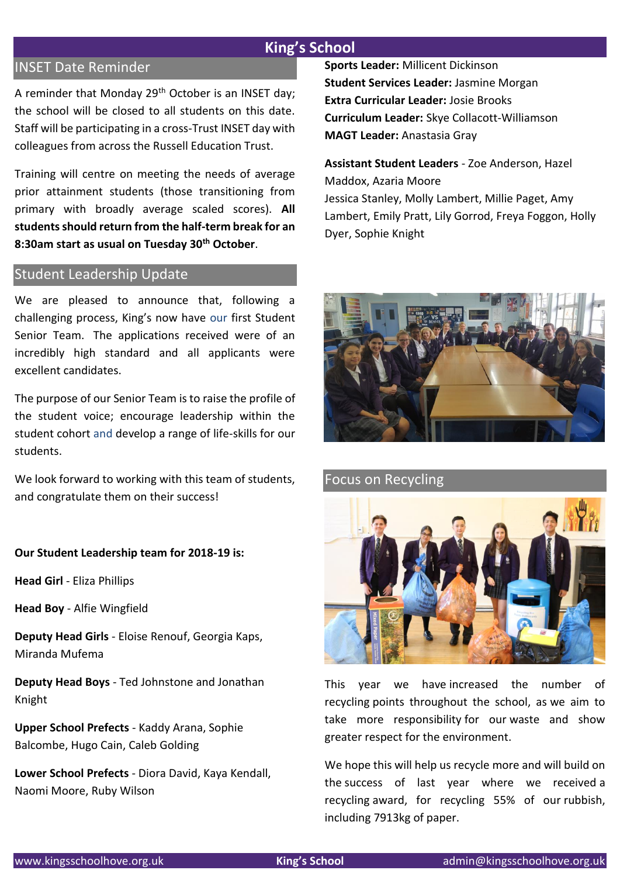# **King's School**

# INSET Date Reminder

A reminder that Monday 29<sup>th</sup> October is an INSET day; the school will be closed to all students on this date. Staff will be participating in a cross-Trust INSET day with colleagues from across the Russell Education Trust.

Training will centre on meeting the needs of average prior attainment students (those transitioning from primary with broadly average scaled scores). **All students should return from the half-term break for an 8:30am start as usual on Tuesday 30th October**.

### Student Leadership Update

We are pleased to announce that, following a challenging process, King's now have our first Student Senior Team. The applications received were of an incredibly high standard and all applicants were excellent candidates.

The purpose of our Senior Team is to raise the profile of the student voice; encourage leadership within the student cohort and develop a range of life-skills for our students.

We look forward to working with this team of students, and congratulate them on their success!

**Our Student Leadership team for 2018-19 is:**

**Head Girl** - Eliza Phillips

**Head Boy** - Alfie Wingfield

**Deputy Head Girls** - Eloise Renouf, Georgia Kaps, Miranda Mufema

**Deputy Head Boys** - Ted Johnstone and Jonathan Knight

**Upper School Prefects** - Kaddy Arana, Sophie Balcombe, Hugo Cain, Caleb Golding

**Lower School Prefects** - Diora David, Kaya Kendall, Naomi Moore, Ruby Wilson

**Sports Leader:** Millicent Dickinson **Student Services Leader:** Jasmine Morgan **Extra Curricular Leader:** Josie Brooks **Curriculum Leader:** Skye Collacott-Williamson **MAGT Leader:** Anastasia Gray

**Assistant Student Leaders** - Zoe Anderson, Hazel Maddox, Azaria Moore Jessica Stanley, Molly Lambert, Millie Paget, Amy Lambert, Emily Pratt, Lily Gorrod, Freya Foggon, Holly Dyer, Sophie Knight



Focus on Recycling



This year we have increased the number of recycling points throughout the school, as we aim to take more responsibility for our waste and show greater respect for the environment.

We hope this will help us recycle more and will build on the success of last year where we received a recycling award, for recycling 55% of our rubbish, including 7913kg of paper.